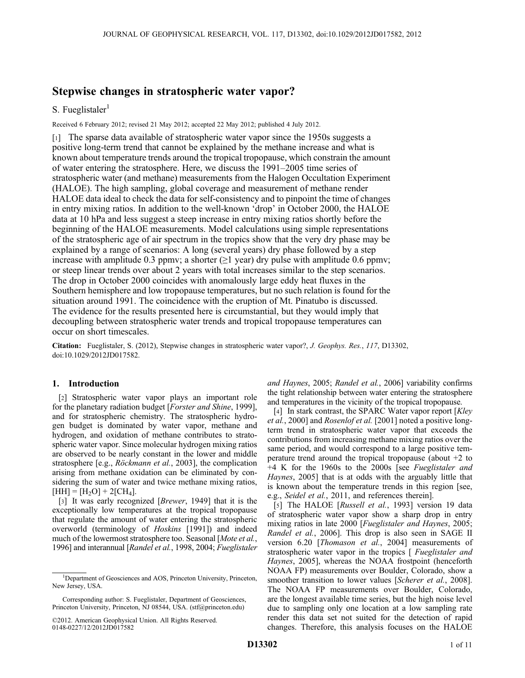# Stepwise changes in stratospheric water vapor?

## S. Fueglistaler $<sup>1</sup>$ </sup>

Received 6 February 2012; revised 21 May 2012; accepted 22 May 2012; published 4 July 2012.

[1] The sparse data available of stratospheric water vapor since the 1950s suggests a positive long-term trend that cannot be explained by the methane increase and what is known about temperature trends around the tropical tropopause, which constrain the amount of water entering the stratosphere. Here, we discuss the 1991–2005 time series of stratospheric water (and methane) measurements from the Halogen Occultation Experiment (HALOE). The high sampling, global coverage and measurement of methane render HALOE data ideal to check the data for self-consistency and to pinpoint the time of changes in entry mixing ratios. In addition to the well-known 'drop' in October 2000, the HALOE data at 10 hPa and less suggest a steep increase in entry mixing ratios shortly before the beginning of the HALOE measurements. Model calculations using simple representations of the stratospheric age of air spectrum in the tropics show that the very dry phase may be explained by a range of scenarios: A long (several years) dry phase followed by a step increase with amplitude 0.3 ppmv; a shorter  $(\geq 1$  year) dry pulse with amplitude 0.6 ppmv; or steep linear trends over about 2 years with total increases similar to the step scenarios. The drop in October 2000 coincides with anomalously large eddy heat fluxes in the Southern hemisphere and low tropopause temperatures, but no such relation is found for the situation around 1991. The coincidence with the eruption of Mt. Pinatubo is discussed. The evidence for the results presented here is circumstantial, but they would imply that decoupling between stratospheric water trends and tropical tropopause temperatures can occur on short timescales.

Citation: Fueglistaler, S. (2012), Stepwise changes in stratospheric water vapor?, J. Geophys. Res., 117, D13302, doi:10.1029/2012JD017582.

## 1. Introduction

[2] Stratospheric water vapor plays an important role for the planetary radiation budget [Forster and Shine, 1999], and for stratospheric chemistry. The stratospheric hydrogen budget is dominated by water vapor, methane and hydrogen, and oxidation of methane contributes to stratospheric water vapor. Since molecular hydrogen mixing ratios are observed to be nearly constant in the lower and middle stratosphere [e.g., Röckmann et al., 2003], the complication arising from methane oxidation can be eliminated by considering the sum of water and twice methane mixing ratios,  $[HH] = [H_2O] + 2[CH_4].$ 

[3] It was early recognized [Brewer, 1949] that it is the exceptionally low temperatures at the tropical tropopause that regulate the amount of water entering the stratospheric overworld (terminology of Hoskins [1991]) and indeed much of the lowermost stratosphere too. Seasonal [Mote et al., 1996] and interannual [Randel et al., 1998, 2004; Fueglistaler

Corresponding author: S. Fueglistaler, Department of Geosciences, Princeton University, Princeton, NJ 08544, USA. (stf@princeton.edu)

and Haynes, 2005; Randel et al., 2006] variability confirms the tight relationship between water entering the stratosphere and temperatures in the vicinity of the tropical tropopause.

[4] In stark contrast, the SPARC Water vapor report [Kley] et al., 2000] and Rosenlof et al. [2001] noted a positive longterm trend in stratospheric water vapor that exceeds the contributions from increasing methane mixing ratios over the same period, and would correspond to a large positive temperature trend around the tropical tropopause (about +2 to +4 K for the 1960s to the 2000s [see Fueglistaler and Haynes, 2005] that is at odds with the arguably little that is known about the temperature trends in this region [see, e.g., Seidel et al., 2011, and references therein].

[5] The HALOE [Russell et al., 1993] version 19 data of stratospheric water vapor show a sharp drop in entry mixing ratios in late 2000 [Fueglistaler and Haynes, 2005; Randel et al., 2006]. This drop is also seen in SAGE II version 6.20 [Thomason et al., 2004] measurements of stratospheric water vapor in the tropics [ Fueglistaler and Haynes, 2005], whereas the NOAA frostpoint (henceforth NOAA FP) measurements over Boulder, Colorado, show a smoother transition to lower values [*Scherer et al.*, 2008]. The NOAA FP measurements over Boulder, Colorado, are the longest available time series, but the high noise level due to sampling only one location at a low sampling rate render this data set not suited for the detection of rapid changes. Therefore, this analysis focuses on the HALOE

<sup>&</sup>lt;sup>1</sup>Department of Geosciences and AOS, Princeton University, Princeton, New Jersey, USA.

<sup>©2012.</sup> American Geophysical Union. All Rights Reserved. 0148-0227/12/2012JD017582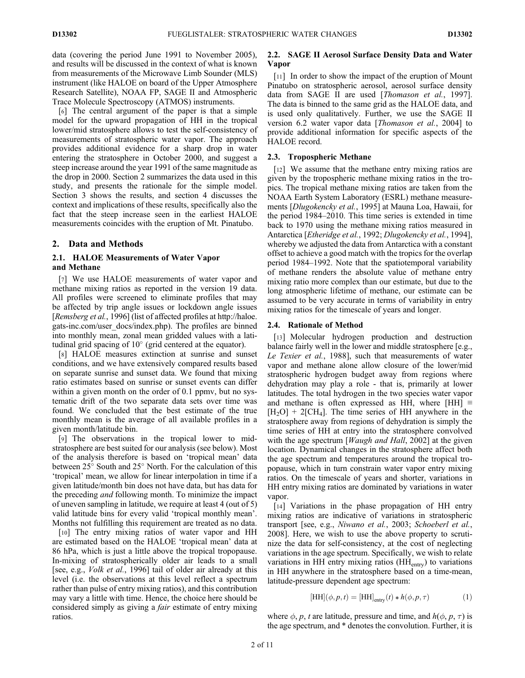data (covering the period June 1991 to November 2005), and results will be discussed in the context of what is known from measurements of the Microwave Limb Sounder (MLS) instrument (like HALOE on board of the Upper Atmosphere Research Satellite), NOAA FP, SAGE II and Atmospheric Trace Molecule Spectroscopy (ATMOS) instruments.

[6] The central argument of the paper is that a simple model for the upward propagation of HH in the tropical lower/mid stratosphere allows to test the self-consistency of measurements of stratospheric water vapor. The approach provides additional evidence for a sharp drop in water entering the stratosphere in October 2000, and suggest a steep increase around the year 1991 of the same magnitude as the drop in 2000. Section 2 summarizes the data used in this study, and presents the rationale for the simple model. Section 3 shows the results, and section 4 discusses the context and implications of these results, specifically also the fact that the steep increase seen in the earliest HALOE measurements coincides with the eruption of Mt. Pinatubo.

#### 2. Data and Methods

## 2.1. HALOE Measurements of Water Vapor and Methane

[7] We use HALOE measurements of water vapor and methane mixing ratios as reported in the version 19 data. All profiles were screened to eliminate profiles that may be affected by trip angle issues or lockdown angle issues [Remsberg et al., 1996] (list of affected profiles at http://haloe. gats-inc.com/user\_docs/index.php). The profiles are binned into monthly mean, zonal mean gridded values with a latitudinal grid spacing of  $10^{\circ}$  (grid centered at the equator).

[8] HALOE measures extinction at sunrise and sunset conditions, and we have extensively compared results based on separate sunrise and sunset data. We found that mixing ratio estimates based on sunrise or sunset events can differ within a given month on the order of 0.1 ppmv, but no systematic drift of the two separate data sets over time was found. We concluded that the best estimate of the true monthly mean is the average of all available profiles in a given month/latitude bin.

[9] The observations in the tropical lower to midstratosphere are best suited for our analysis (see below). Most of the analysis therefore is based on 'tropical mean' data between  $25^{\circ}$  South and  $25^{\circ}$  North. For the calculation of this 'tropical' mean, we allow for linear interpolation in time if a given latitude/month bin does not have data, but has data for the preceding *and* following month. To minimize the impact of uneven sampling in latitude, we require at least 4 (out of 5) valid latitude bins for every valid 'tropical monthly mean'. Months not fulfilling this requirement are treated as no data.

[10] The entry mixing ratios of water vapor and HH are estimated based on the HALOE 'tropical mean' data at 86 hPa, which is just a little above the tropical tropopause. In-mixing of stratospherically older air leads to a small [see, e.g., *Volk et al.*, 1996] tail of older air already at this level (i.e. the observations at this level reflect a spectrum rather than pulse of entry mixing ratios), and this contribution may vary a little with time. Hence, the choice here should be considered simply as giving a fair estimate of entry mixing ratios.

#### 2.2. SAGE II Aerosol Surface Density Data and Water Vapor

[11] In order to show the impact of the eruption of Mount Pinatubo on stratospheric aerosol, aerosol surface density data from SAGE II are used [Thomason et al., 1997]. The data is binned to the same grid as the HALOE data, and is used only qualitatively. Further, we use the SAGE II version 6.2 water vapor data [Thomason et al., 2004] to provide additional information for specific aspects of the HALOE record.

#### 2.3. Tropospheric Methane

[12] We assume that the methane entry mixing ratios are given by the tropospheric methane mixing ratios in the tropics. The tropical methane mixing ratios are taken from the NOAA Earth System Laboratory (ESRL) methane measurements [Dlugokencky et al., 1995] at Mauna Loa, Hawaii, for the period 1984–2010. This time series is extended in time back to 1970 using the methane mixing ratios measured in Antarctica [Etheridge et al., 1992; Dlugokencky et al., 1994], whereby we adjusted the data from Antarctica with a constant offset to achieve a good match with the tropics for the overlap period 1984–1992. Note that the spatiotemporal variability of methane renders the absolute value of methane entry mixing ratio more complex than our estimate, but due to the long atmospheric lifetime of methane, our estimate can be assumed to be very accurate in terms of variability in entry mixing ratios for the timescale of years and longer.

#### 2.4. Rationale of Method

[13] Molecular hydrogen production and destruction balance fairly well in the lower and middle stratosphere [e.g., Le Texier et al., 1988], such that measurements of water vapor and methane alone allow closure of the lower/mid stratospheric hydrogen budget away from regions where dehydration may play a role - that is, primarily at lower latitudes. The total hydrogen in the two species water vapor and methane is often expressed as HH, where [HH]  $\equiv$  $[H_2O]$  + 2[CH<sub>4</sub>]. The time series of HH anywhere in the stratosphere away from regions of dehydration is simply the time series of HH at entry into the stratosphere convolved with the age spectrum [*Waugh and Hall*, 2002] at the given location. Dynamical changes in the stratosphere affect both the age spectrum and temperatures around the tropical tropopause, which in turn constrain water vapor entry mixing ratios. On the timescale of years and shorter, variations in HH entry mixing ratios are dominated by variations in water vapor.

[14] Variations in the phase propagation of HH entry mixing ratios are indicative of variations in stratospheric transport [see, e.g., Niwano et al., 2003; Schoeberl et al., 2008]. Here, we wish to use the above property to scrutinize the data for self-consistency, at the cost of neglecting variations in the age spectrum. Specifically, we wish to relate variations in HH entry mixing ratios  $(HH<sub>entry</sub>)$  to variations in HH anywhere in the stratosphere based on a time-mean, latitude-pressure dependent age spectrum:

$$
[\text{HH}](\phi, p, t) = [\text{HH}]_{\text{entry}}(t) * h(\phi, p, \tau)
$$
 (1)

where  $\phi$ , p, t are latitude, pressure and time, and  $h(\phi, p, \tau)$  is the age spectrum, and \* denotes the convolution. Further, it is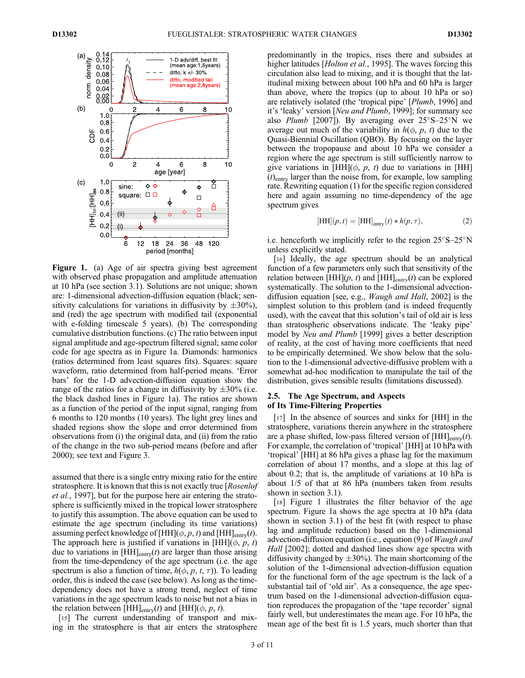

Figure 1. (a) Age of air spectra giving best agreement with observed phase propagation and amplitude attenuation at 10 hPa (see section 3.1). Solutions are not unique; shown are: 1-dimensional advection-diffusion equation (black; sensitivity calculations for variations in diffusivity by  $\pm 30\%$ ), and (red) the age spectrum with modified tail (exponential with e-folding timescale 5 years). (b) The corresponding cumulative distribution functions. (c) The ratio between input signal amplitude and age-spectrum filtered signal; same color code for age spectra as in Figure 1a. Diamonds: harmonics (ratios determined from least squares fits). Squares: square waveform, ratio determined from half-period means. 'Error bars' for the 1-D advection-diffusion equation show the range of the ratios for a change in diffusivity by  $\pm 30\%$  (i.e. the black dashed lines in Figure 1a). The ratios are shown as a function of the period of the input signal, ranging from 6 months to 120 months (10 years). The light grey lines and shaded regions show the slope and error determined from observations from (i) the original data, and (ii) from the ratio of the change in the two sub-period means (before and after 2000); see text and Figure 3.

assumed that there is a single entry mixing ratio for the entire stratosphere. It is known that this is not exactly true [Rosenlof et al., 1997], but for the purpose here air entering the stratosphere is sufficiently mixed in the tropical lower stratosphere to justify this assumption. The above equation can be used to estimate the age spectrum (including its time variations) assuming perfect knowledge of [HH]( $\phi$ , p, t) and [HH]<sub>entry</sub>(t). The approach here is justified if variations in  $[HH](\phi, p, t)$ due to variations in  $[HH]_{\text{entry}}(t)$  are larger than those arising from the time-dependency of the age spectrum (i.e. the age spectrum is also a function of time,  $h(\phi, p, t, \tau)$ ). To leading order, this is indeed the case (see below). As long as the timedependency does not have a strong trend, neglect of time variations in the age spectrum leads to noise but not a bias in the relation between [HH]<sub>entry</sub>(t) and [HH]( $\phi$ , p, t).

[15] The current understanding of transport and mixing in the stratosphere is that air enters the stratosphere predominantly in the tropics, rises there and subsides at higher latitudes [*Holton et al.*, 1995]. The waves forcing this circulation also lead to mixing, and it is thought that the latitudinal mixing between about 100 hPa and 60 hPa is larger than above, where the tropics (up to about 10 hPa or so) are relatively isolated (the 'tropical pipe' [Plumb, 1996] and it's 'leaky' version [Neu and Plumb, 1999]; for summary see also *Plumb* [2007]). By averaging over  $25^{\circ}S - 25^{\circ}N$  we average out much of the variability in  $h(\phi, p, t)$  due to the Quasi-Biennial Oscillation (QBO). By focusing on the layer between the tropopause and about 10 hPa we consider a region where the age spectrum is still sufficiently narrow to give variations in [HH]( $\phi$ ,  $p$ ,  $t$ ) due to variations in [HH]  $(t)$ <sub>entry</sub> larger than the noise from, for example, low sampling rate. Rewriting equation (1) for the specific region considered here and again assuming no time-dependency of the age spectrum gives

$$
[\text{HH}](p, t) = [\text{HH}]_{\text{entry}}(t) * h(p, \tau), \tag{2}
$$

i.e. henceforth we implicitly refer to the region  $25^{\circ}S-25^{\circ}N$ unless explicitly stated.

[16] Ideally, the age spectrum should be an analytical function of a few parameters only such that sensitivity of the relation between  $[HH](p, t)$  and  $[HH]_{entry}(t)$  can be explored systematically. The solution to the 1-dimensional advectiondiffusion equation [see, e.g., Waugh and Hall, 2002] is the simplest solution to this problem (and is indeed frequently used), with the caveat that this solution's tail of old air is less than stratospheric observations indicate. The 'leaky pipe' model by Neu and Plumb [1999] gives a better description of reality, at the cost of having more coefficients that need to be empirically determined. We show below that the solution to the 1-dimensional advective-diffusive problem with a somewhat ad-hoc modification to manipulate the tail of the distribution, gives sensible results (limitations discussed).

#### 2.5. The Age Spectrum, and Aspects of Its Time-Filtering Properties

[17] In the absence of sources and sinks for [HH] in the stratosphere, variations therein anywhere in the stratosphere are a phase shifted, low-pass filtered version of  $[HH]_{\text{entry}}(t)$ . For example, the correlation of 'tropical' [HH] at 10 hPa with 'tropical' [HH] at 86 hPa gives a phase lag for the maximum correlation of about 17 months, and a slope at this lag of about 0.2; that is, the amplitude of variations at 10 hPa is about 1/5 of that at 86 hPa (numbers taken from results shown in section 3.1).

[18] Figure 1 illustrates the filter behavior of the age spectrum. Figure 1a shows the age spectra at 10 hPa (data shown in section 3.1) of the best fit (with respect to phase lag and amplitude reduction) based on the 1-dimensional advection-diffusion equation (i.e., equation (9) of *Waugh and* Hall [2002]; dotted and dashed lines show age spectra with diffusivity changed by  $\pm 30\%$ ). The main shortcoming of the solution of the 1-dimensional advection-diffusion equation for the functional form of the age spectrum is the lack of a substantial tail of 'old air'. As a consequence, the age spectrum based on the 1-dimensional advection-diffusion equation reproduces the propagation of the 'tape recorder' signal fairly well, but underestimates the mean age. For 10 hPa, the mean age of the best fit is 1.5 years, much shorter than that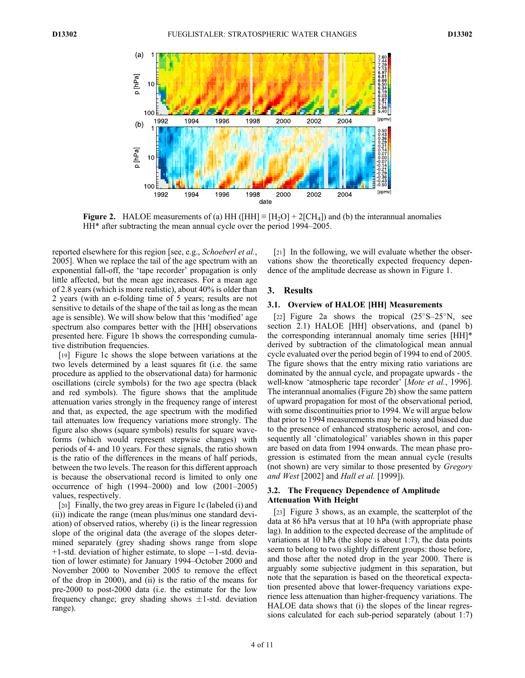

Figure 2. HALOE measurements of (a) HH ( $[HH] \equiv [H_2O] + 2[CH_4]$ ) and (b) the interannual anomalies HH\* after subtracting the mean annual cycle over the period 1994–2005.

reported elsewhere for this region [see, e.g., *Schoeberl et al.*, 2005]. When we replace the tail of the age spectrum with an exponential fall-off, the 'tape recorder' propagation is only little affected, but the mean age increases. For a mean age of 2.8 years (which is more realistic), about 40% is older than 2 years (with an e-folding time of 5 years; results are not sensitive to details of the shape of the tail as long as the mean age is sensible). We will show below that this 'modified' age spectrum also compares better with the [HH] observations presented here. Figure 1b shows the corresponding cumulative distribution frequencies.

[19] Figure 1c shows the slope between variations at the two levels determined by a least squares fit (i.e. the same procedure as applied to the observational data) for harmonic oscillations (circle symbols) for the two age spectra (black and red symbols). The figure shows that the amplitude attenuation varies strongly in the frequency range of interest and that, as expected, the age spectrum with the modified tail attenuates low frequency variations more strongly. The figure also shows (square symbols) results for square waveforms (which would represent stepwise changes) with periods of 4- and 10 years. For these signals, the ratio shown is the ratio of the differences in the means of half periods, between the two levels. The reason for this different approach is because the observational record is limited to only one occurrence of high (1994–2000) and low (2001–2005) values, respectively.

[20] Finally, the two grey areas in Figure 1c (labeled (i) and (ii)) indicate the range (mean plus/minus one standard deviation) of observed ratios, whereby (i) is the linear regression slope of the original data (the average of the slopes determined separately (grey shading shows range from slope  $+1$ -std. deviation of higher estimate, to slope  $-1$ -std. deviation of lower estimate) for January 1994–October 2000 and November 2000 to November 2005 to remove the effect of the drop in 2000), and (ii) is the ratio of the means for pre-2000 to post-2000 data (i.e. the estimate for the low frequency change; grey shading shows  $\pm 1$ -std. deviation range).

[21] In the following, we will evaluate whether the observations show the theoretically expected frequency dependence of the amplitude decrease as shown in Figure 1.

## 3. Results

## 3.1. Overview of HALOE [HH] Measurements

[22] Figure 2a shows the tropical  $(25^{\circ}S-25^{\circ}N,$  see section 2.1) HALOE [HH] observations, and (panel b) the corresponding interannual anomaly time series [HH]\* derived by subtraction of the climatological mean annual cycle evaluated over the period begin of 1994 to end of 2005. The figure shows that the entry mixing ratio variations are dominated by the annual cycle, and propagate upwards - the well-know 'atmospheric tape recorder' [Mote et al., 1996]. The interannual anomalies (Figure 2b) show the same pattern of upward propagation for most of the observational period, with some discontinuities prior to 1994. We will argue below that prior to 1994 measurements may be noisy and biased due to the presence of enhanced stratospheric aerosol, and consequently all 'climatological' variables shown in this paper are based on data from 1994 onwards. The mean phase progression is estimated from the mean annual cycle (results (not shown) are very similar to those presented by Gregory and West [2002] and Hall et al. [1999]).

## 3.2. The Frequency Dependence of Amplitude Attenuation With Height

[23] Figure 3 shows, as an example, the scatterplot of the data at 86 hPa versus that at 10 hPa (with appropriate phase lag). In addition to the expected decrease of the amplitude of variations at 10 hPa (the slope is about 1:7), the data points seem to belong to two slightly different groups: those before, and those after the noted drop in the year 2000. There is arguably some subjective judgment in this separation, but note that the separation is based on the theoretical expectation presented above that lower-frequency variations experience less attenuation than higher-frequency variations. The HALOE data shows that (i) the slopes of the linear regressions calculated for each sub-period separately (about 1:7)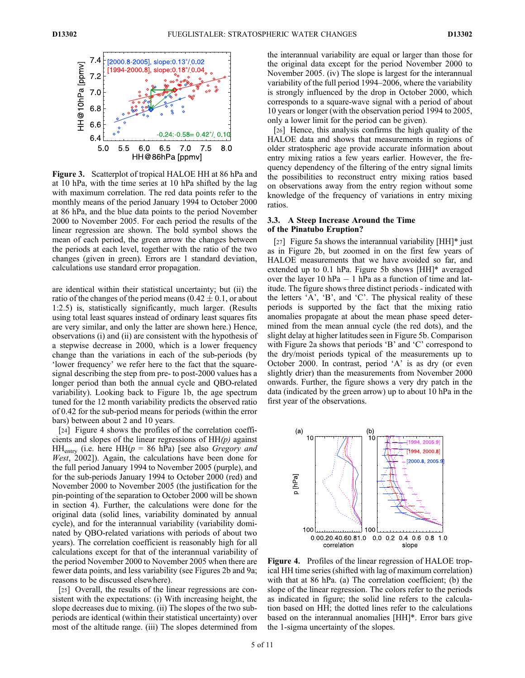

Figure 3. Scatterplot of tropical HALOE HH at 86 hPa and at 10 hPa, with the time series at 10 hPa shifted by the lag with maximum correlation. The red data points refer to the monthly means of the period January 1994 to October 2000 at 86 hPa, and the blue data points to the period November 2000 to November 2005. For each period the results of the linear regression are shown. The bold symbol shows the mean of each period, the green arrow the changes between the periods at each level, together with the ratio of the two changes (given in green). Errors are 1 standard deviation, calculations use standard error propagation.

are identical within their statistical uncertainty; but (ii) the ratio of the changes of the period means (0.42  $\pm$  0.1, or about 1:2.5) is, statistically significantly, much larger. (Results using total least squares instead of ordinary least squares fits are very similar, and only the latter are shown here.) Hence, observations (i) and (ii) are consistent with the hypothesis of a stepwise decrease in 2000, which is a lower frequency change than the variations in each of the sub-periods (by 'lower frequency' we refer here to the fact that the squaresignal describing the step from pre- to post-2000 values has a longer period than both the annual cycle and QBO-related variability). Looking back to Figure 1b, the age spectrum tuned for the 12 month variability predicts the observed ratio of 0.42 for the sub-period means for periods (within the error bars) between about 2 and 10 years.

[24] Figure 4 shows the profiles of the correlation coefficients and slopes of the linear regressions of  $HH(p)$  against HH<sub>entry</sub> (i.e. here HH( $p = 86$  hPa) [see also *Gregory and* West, 2002]). Again, the calculations have been done for the full period January 1994 to November 2005 (purple), and for the sub-periods January 1994 to October 2000 (red) and November 2000 to November 2005 (the justification for the pin-pointing of the separation to October 2000 will be shown in section 4). Further, the calculations were done for the original data (solid lines, variability dominated by annual cycle), and for the interannual variability (variability dominated by QBO-related variations with periods of about two years). The correlation coefficient is reasonably high for all calculations except for that of the interannual variability of the period November 2000 to November 2005 when there are fewer data points, and less variability (see Figures 2b and 9a; reasons to be discussed elsewhere).

[25] Overall, the results of the linear regressions are consistent with the expectations: (i) With increasing height, the slope decreases due to mixing. (ii) The slopes of the two subperiods are identical (within their statistical uncertainty) over most of the altitude range. (iii) The slopes determined from

the interannual variability are equal or larger than those for the original data except for the period November 2000 to November 2005. (iv) The slope is largest for the interannual variability of the full period 1994–2006, where the variability is strongly influenced by the drop in October 2000, which corresponds to a square-wave signal with a period of about 10 years or longer (with the observation period 1994 to 2005, only a lower limit for the period can be given).

[26] Hence, this analysis confirms the high quality of the HALOE data and shows that measurements in regions of older stratospheric age provide accurate information about entry mixing ratios a few years earlier. However, the frequency dependency of the filtering of the entry signal limits the possibilities to reconstruct entry mixing ratios based on observations away from the entry region without some knowledge of the frequency of variations in entry mixing ratios.

## 3.3. A Steep Increase Around the Time of the Pinatubo Eruption?

[27] Figure 5a shows the interannual variability  $[HH]^*$  just as in Figure 2b, but zoomed in on the first few years of HALOE measurements that we have avoided so far, and extended up to 0.1 hPa. Figure 5b shows [HH]\* averaged over the layer 10 hPa  $-1$  hPa as a function of time and latitude. The figure shows three distinct periods - indicated with the letters 'A', 'B', and 'C'. The physical reality of these periods is supported by the fact that the mixing ratio anomalies propagate at about the mean phase speed determined from the mean annual cycle (the red dots), and the slight delay at higher latitudes seen in Figure 5b. Comparison with Figure 2a shows that periods 'B' and 'C' correspond to the dry/moist periods typical of the measurements up to October 2000. In contrast, period 'A' is as dry (or even slightly drier) than the measurements from November 2000 onwards. Further, the figure shows a very dry patch in the data (indicated by the green arrow) up to about 10 hPa in the first year of the observations.



Figure 4. Profiles of the linear regression of HALOE tropical HH time series (shifted with lag of maximum correlation) with that at 86 hPa. (a) The correlation coefficient; (b) the slope of the linear regression. The colors refer to the periods as indicated in figure; the solid line refers to the calculation based on HH; the dotted lines refer to the calculations based on the interannual anomalies [HH]\*. Error bars give the 1-sigma uncertainty of the slopes.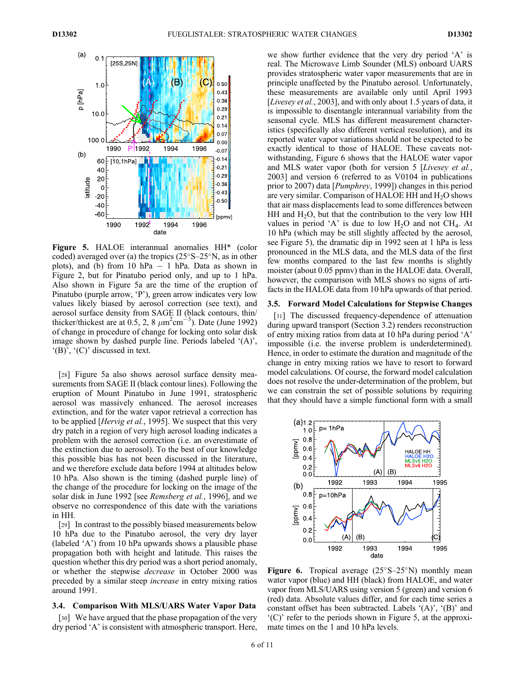

Figure 5. HALOE interannual anomalies HH\* (color coded) averaged over (a) the tropics  $(25^{\circ}S-25^{\circ}N)$ , as in other plots), and (b) from 10 hPa  $-$  1 hPa. Data as shown in Figure 2, but for Pinatubo period only, and up to 1 hPa. Also shown in Figure 5a are the time of the eruption of Pinatubo (purple arrow, 'P'), green arrow indicates very low values likely biased by aerosol correction (see text), and aerosol surface density from SAGE II (black contours, thin/ thicker/thickest are at 0.5, 2, 8  $\mu$ m<sup>2</sup>cm<sup>-3</sup>). Date (June 1992) of change in procedure of change for locking onto solar disk image shown by dashed purple line. Periods labeled '(A)', '(B)', '(C)' discussed in text.

[28] Figure 5a also shows aerosol surface density measurements from SAGE II (black contour lines). Following the eruption of Mount Pinatubo in June 1991, stratospheric aerosol was massively enhanced. The aerosol increases extinction, and for the water vapor retrieval a correction has to be applied [*Hervig et al.*, 1995]. We suspect that this very dry patch in a region of very high aerosol loading indicates a problem with the aerosol correction (i.e. an overestimate of the extinction due to aerosol). To the best of our knowledge this possible bias has not been discussed in the literature, and we therefore exclude data before 1994 at altitudes below 10 hPa. Also shown is the timing (dashed purple line) of the change of the procedure for locking on the image of the solar disk in June 1992 [see *Remsberg et al.*, 1996], and we observe no correspondence of this date with the variations in HH.

[29] In contrast to the possibly biased measurements below 10 hPa due to the Pinatubo aerosol, the very dry layer (labeled 'A') from 10 hPa upwards shows a plausible phase propagation both with height and latitude. This raises the question whether this dry period was a short period anomaly, or whether the stepwise decrease in October 2000 was preceded by a similar steep increase in entry mixing ratios around 1991.

## 3.4. Comparison With MLS/UARS Water Vapor Data

[30] We have argued that the phase propagation of the very dry period 'A' is consistent with atmospheric transport. Here, we show further evidence that the very dry period 'A' is real. The Microwave Limb Sounder (MLS) onboard UARS provides stratospheric water vapor measurements that are in principle unaffected by the Pinatubo aerosol. Unfortunately, these measurements are available only until April 1993 [*Livesey et al.,* 2003], and with only about 1.5 years of data, it is impossible to disentangle interannual variability from the seasonal cycle. MLS has different measurement characteristics (specifically also different vertical resolution), and its reported water vapor variations should not be expected to be exactly identical to those of HALOE. These caveats notwithstanding, Figure 6 shows that the HALOE water vapor and MLS water vapor (both for version 5 [Livesey et al., 2003] and version 6 (referred to as V0104 in publications prior to 2007) data [Pumphrey, 1999]) changes in this period are very similar. Comparison of HALOE HH and  $H_2O$  shows that air mass displacements lead to some differences between HH and  $H_2O$ , but that the contribution to the very low HH values in period 'A' is due to low  $H_2O$  and not  $CH_4$ . At 10 hPa (which may be still slightly affected by the aerosol, see Figure 5), the dramatic dip in 1992 seen at 1 hPa is less pronounced in the MLS data, and the MLS data of the first few months compared to the last few months is slightly moister (about 0.05 ppmv) than in the HALOE data. Overall, however, the comparison with MLS shows no signs of artifacts in the HALOE data from 10 hPa upwards of that period.

#### 3.5. Forward Model Calculations for Stepwise Changes

[31] The discussed frequency-dependence of attenuation during upward transport (Section 3.2) renders reconstruction of entry mixing ratios from data at 10 hPa during period 'A' impossible (i.e. the inverse problem is underdetermined). Hence, in order to estimate the duration and magnitude of the change in entry mixing ratios we have to resort to forward model calculations. Of course, the forward model calculation does not resolve the under-determination of the problem, but we can constrain the set of possible solutions by requiring that they should have a simple functional form with a small



**Figure 6.** Tropical average  $(25^{\circ}S - 25^{\circ}N)$  monthly mean water vapor (blue) and HH (black) from HALOE, and water vapor from MLS/UARS using version 5 (green) and version 6 (red) data. Absolute values differ, and for each time series a constant offset has been subtracted. Labels '(A)', '(B)' and '(C)' refer to the periods shown in Figure 5, at the approximate times on the 1 and 10 hPa levels.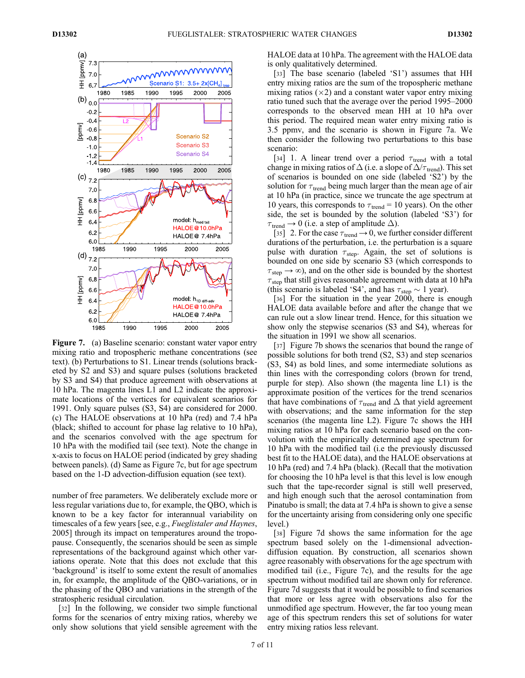

Figure 7. (a) Baseline scenario: constant water vapor entry mixing ratio and tropospheric methane concentrations (see text). (b) Perturbations to S1. Linear trends (solutions bracketed by S2 and S3) and square pulses (solutions bracketed by S3 and S4) that produce agreement with observations at 10 hPa. The magenta lines L1 and L2 indicate the approximate locations of the vertices for equivalent scenarios for 1991. Only square pulses (S3, S4) are considered for 2000. (c) The HALOE observations at 10 hPa (red) and 7.4 hPa (black; shifted to account for phase lag relative to 10 hPa), and the scenarios convolved with the age spectrum for 10 hPa with the modified tail (see text). Note the change in x-axis to focus on HALOE period (indicated by grey shading between panels). (d) Same as Figure 7c, but for age spectrum based on the 1-D advection-diffusion equation (see text).

number of free parameters. We deliberately exclude more or less regular variations due to, for example, the QBO, which is known to be a key factor for interannual variability on timescales of a few years [see, e.g., Fueglistaler and Haynes, 2005] through its impact on temperatures around the tropopause. Consequently, the scenarios should be seen as simple representations of the background against which other variations operate. Note that this does not exclude that this 'background' is itself to some extent the result of anomalies in, for example, the amplitude of the QBO-variations, or in the phasing of the QBO and variations in the strength of the stratospheric residual circulation.

[32] In the following, we consider two simple functional forms for the scenarios of entry mixing ratios, whereby we only show solutions that yield sensible agreement with the HALOE data at 10 hPa. The agreement with the HALOE data is only qualitatively determined.

[33] The base scenario (labeled 'S1') assumes that HH entry mixing ratios are the sum of the tropospheric methane mixing ratios  $(\times 2)$  and a constant water vapor entry mixing ratio tuned such that the average over the period 1995–2000 corresponds to the observed mean HH at 10 hPa over this period. The required mean water entry mixing ratio is 3.5 ppmv, and the scenario is shown in Figure 7a. We then consider the following two perturbations to this base scenario:

[34] 1. A linear trend over a period  $\tau_{\text{trend}}$  with a total change in mixing ratios of  $\Delta$  (i.e. a slope of  $\Delta/\tau_{\text{trend}}$ ). This set of scenarios is bounded on one side (labeled 'S2') by the solution for  $\tau_{\text{trend}}$  being much larger than the mean age of air at 10 hPa (in practice, since we truncate the age spectrum at 10 years, this corresponds to  $\tau_{\text{trend}} = 10$  years). On the other side, the set is bounded by the solution (labeled 'S3') for  $\tau_{\text{trend}} \rightarrow 0$  (i.e. a step of amplitude  $\Delta$ ).

[35] 2. For the case  $\tau_{\text{trend}} \rightarrow 0$ , we further consider different durations of the perturbation, i.e. the perturbation is a square pulse with duration  $\tau_{step}$ . Again, the set of solutions is bounded on one side by scenario S3 (which corresponds to  $\tau_{\text{step}} \rightarrow \infty$ ), and on the other side is bounded by the shortest  $\tau_{\text{step}}$  that still gives reasonable agreement with data at 10 hPa (this scenario is labeled 'S4', and has  $\tau_{step} \sim 1$  year).

[36] For the situation in the year 2000, there is enough HALOE data available before and after the change that we can rule out a slow linear trend. Hence, for this situation we show only the stepwise scenarios (S3 and S4), whereas for the situation in 1991 we show all scenarios.

[37] Figure 7b shows the scenarios that bound the range of possible solutions for both trend (S2, S3) and step scenarios (S3, S4) as bold lines, and some intermediate solutions as thin lines with the corresponding colors (brown for trend, purple for step). Also shown (the magenta line L1) is the approximate position of the vertices for the trend scenarios that have combinations of  $\tau_{\text{trend}}$  and  $\Delta$  that yield agreement with observations; and the same information for the step scenarios (the magenta line L2). Figure 7c shows the HH mixing ratios at 10 hPa for each scenario based on the convolution with the empirically determined age spectrum for 10 hPa with the modified tail (i.e the previously discussed best fit to the HALOE data), and the HALOE observations at 10 hPa (red) and 7.4 hPa (black). (Recall that the motivation for choosing the 10 hPa level is that this level is low enough such that the tape-recorder signal is still well preserved, and high enough such that the aerosol contamination from Pinatubo is small; the data at 7.4 hPa is shown to give a sense for the uncertainty arising from considering only one specific level.)

[38] Figure 7d shows the same information for the age spectrum based solely on the 1-dimensional advectiondiffusion equation. By construction, all scenarios shown agree reasonably with observations for the age spectrum with modified tail (i.e., Figure 7c), and the results for the age spectrum without modified tail are shown only for reference. Figure 7d suggests that it would be possible to find scenarios that more or less agree with observations also for the unmodified age spectrum. However, the far too young mean age of this spectrum renders this set of solutions for water entry mixing ratios less relevant.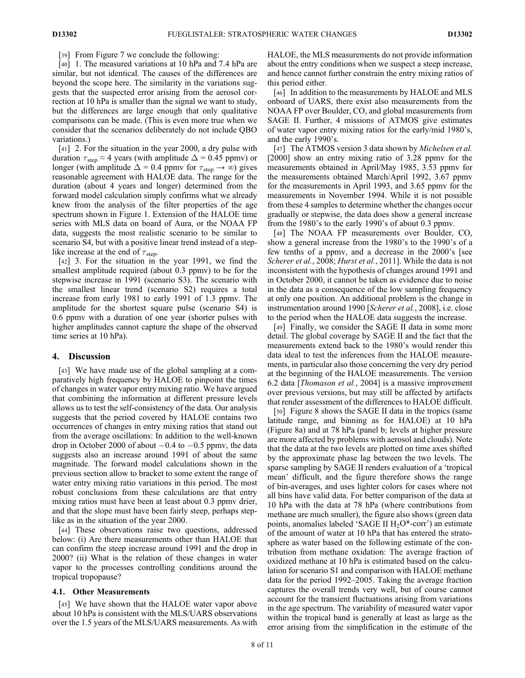[39] From Figure 7 we conclude the following:

[40] 1. The measured variations at 10 hPa and 7.4 hPa are similar, but not identical. The causes of the differences are beyond the scope here. The similarity in the variations suggests that the suspected error arising from the aerosol correction at 10 hPa is smaller than the signal we want to study, but the differences are large enough that only qualitative comparisons can be made. (This is even more true when we consider that the scenarios deliberately do not include QBO variations.)

[41] 2. For the situation in the year 2000, a dry pulse with duration  $\tau_{\text{step}} \approx 4$  years (with amplitude  $\Delta = 0.45$  ppmv) or longer (with amplitude  $\Delta = 0.4$  ppmv for  $\tau_{step} \rightarrow \infty$ ) gives reasonable agreement with HALOE data. The range for the duration (about 4 years and longer) determined from the forward model calculation simply confirms what we already knew from the analysis of the filter properties of the age spectrum shown in Figure 1. Extension of the HALOE time series with MLS data on board of Aura, or the NOAA FP data, suggests the most realistic scenario to be similar to scenario S4, but with a positive linear trend instead of a steplike increase at the end of  $\tau_{step}$ .

[42] 3. For the situation in the year 1991, we find the smallest amplitude required (about 0.3 ppmv) to be for the stepwise increase in 1991 (scenario S3). The scenario with the smallest linear trend (scenario S2) requires a total increase from early 1981 to early 1991 of 1.3 ppmv. The amplitude for the shortest square pulse (scenario S4) is 0.6 ppmv with a duration of one year (shorter pulses with higher amplitudes cannot capture the shape of the observed time series at 10 hPa).

#### 4. Discussion

[43] We have made use of the global sampling at a comparatively high frequency by HALOE to pinpoint the times of changes in water vapor entry mixing ratio. We have argued that combining the information at different pressure levels allows us to test the self-consistency of the data. Our analysis suggests that the period covered by HALOE contains two occurrences of changes in entry mixing ratios that stand out from the average oscillations: In addition to the well-known drop in October 2000 of about  $-0.4$  to  $-0.5$  ppmv, the data suggests also an increase around 1991 of about the same magnitude. The forward model calculations shown in the previous section allow to bracket to some extent the range of water entry mixing ratio variations in this period. The most robust conclusions from these calculations are that entry mixing ratios must have been at least about 0.3 ppmv drier, and that the slope must have been fairly steep, perhaps steplike as in the situation of the year 2000.

[44] These observations raise two questions, addressed below: (i) Are there measurements other than HALOE that can confirm the steep increase around 1991 and the drop in 2000? (ii) What is the relation of these changes in water vapor to the processes controlling conditions around the tropical tropopause?

## 4.1. Other Measurements

[45] We have shown that the HALOE water vapor above about 10 hPa is consistent with the MLS/UARS observations over the 1.5 years of the MLS/UARS measurements. As with HALOE, the MLS measurements do not provide information about the entry conditions when we suspect a steep increase, and hence cannot further constrain the entry mixing ratios of this period either.

[46] In addition to the measurements by HALOE and MLS onboard of UARS, there exist also measurements from the NOAA FP over Boulder, CO, and global measurements from SAGE II. Further, 4 missions of ATMOS give estimates of water vapor entry mixing ratios for the early/mid 1980's, and the early 1990's.

[47] The ATMOS version 3 data shown by *Michelsen et al.* [2000] show an entry mixing ratio of 3.28 ppmy for the measurements obtained in April/May 1985, 3.53 ppmv for the measurements obtained March/April 1992, 3.67 ppmv for the measurements in April 1993, and 3.65 ppmv for the measurements in November 1994. While it is not possible from these 4 samples to determine whether the changes occur gradually or stepwise, the data does show a general increase from the 1980's to the early 1990's of about 0.3 ppmv.

[48] The NOAA FP measurements over Boulder, CO, show a general increase from the 1980's to the 1990's of a few tenths of a ppmv, and a decrease in the 2000's [see Scherer et al., 2008; Hurst et al., 2011]. While the data is not inconsistent with the hypothesis of changes around 1991 and in October 2000, it cannot be taken as evidence due to noise in the data as a consequence of the low sampling frequency at only one position. An additional problem is the change in instrumentation around 1990 [Scherer et al., 2008], i.e. close to the period when the HALOE data suggests the increase.

[49] Finally, we consider the SAGE II data in some more detail. The global coverage by SAGE II and the fact that the measurements extend back to the 1980's would render this data ideal to test the inferences from the HALOE measurements, in particular also those concerning the very dry period at the beginning of the HALOE measurements. The version 6.2 data [Thomason et al., 2004] is a massive improvement over previous versions, but may still be affected by artifacts that render assessment of the differences to HALOE difficult.

[50] Figure 8 shows the SAGE II data in the tropics (same latitude range, and binning as for HALOE) at 10 hPa (Figure 8a) and at 78 hPa (panel b; levels at higher pressure are more affected by problems with aerosol and clouds). Note that the data at the two levels are plotted on time axes shifted by the approximate phase lag between the two levels. The sparse sampling by SAGE II renders evaluation of a 'tropical mean' difficult, and the figure therefore shows the range of bin-averages, and uses lighter colors for cases where not all bins have valid data. For better comparison of the data at 10 hPa with the data at 78 hPa (where contributions from methane are much smaller), the figure also shows (green data points, anomalies labeled 'SAGE II  $H_2O^*$ -corr') an estimate of the amount of water at 10 hPa that has entered the stratosphere as water based on the following estimate of the contribution from methane oxidation: The average fraction of oxidized methane at 10 hPa is estimated based on the calculation for scenario S1 and comparison with HALOE methane data for the period 1992–2005. Taking the average fraction captures the overall trends very well, but of course cannot account for the transient fluctuations arising from variations in the age spectrum. The variability of measured water vapor within the tropical band is generally at least as large as the error arising from the simplification in the estimate of the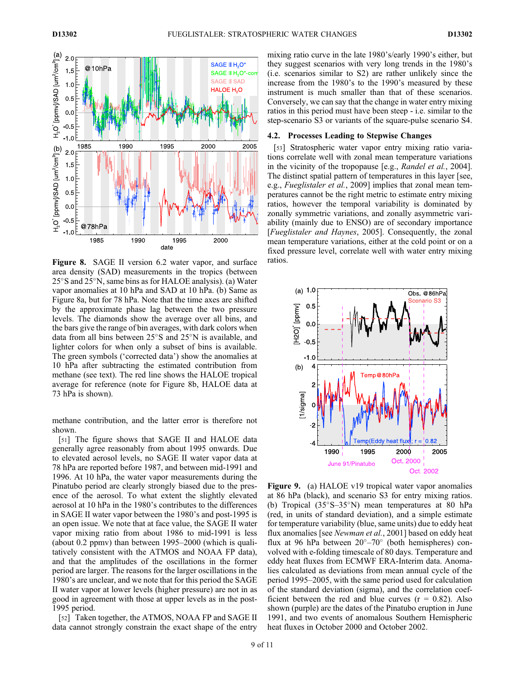

Figure 8. SAGE II version 6.2 water vapor, and surface ratios. area density (SAD) measurements in the tropics (between  $25^{\circ}$ S and  $25^{\circ}$ N, same bins as for HALOE analysis). (a) Water vapor anomalies at 10 hPa and SAD at 10 hPa. (b) Same as Figure 8a, but for 78 hPa. Note that the time axes are shifted by the approximate phase lag between the two pressure levels. The diamonds show the average over all bins, and the bars give the range of bin averages, with dark colors when data from all bins between  $25^{\circ}$ S and  $25^{\circ}$ N is available, and lighter colors for when only a subset of bins is available. The green symbols ('corrected data') show the anomalies at 10 hPa after subtracting the estimated contribution from methane (see text). The red line shows the HALOE tropical average for reference (note for Figure 8b, HALOE data at 73 hPa is shown).

methane contribution, and the latter error is therefore not shown.

[51] The figure shows that SAGE II and HALOE data generally agree reasonably from about 1995 onwards. Due to elevated aerosol levels, no SAGE II water vapor data at 78 hPa are reported before 1987, and between mid-1991 and 1996. At 10 hPa, the water vapor measurements during the Pinatubo period are clearly strongly biased due to the presence of the aerosol. To what extent the slightly elevated aerosol at 10 hPa in the 1980's contributes to the differences in SAGE II water vapor between the 1980's and post-1995 is an open issue. We note that at face value, the SAGE II water vapor mixing ratio from about 1986 to mid-1991 is less (about 0.2 ppmv) than between 1995–2000 (which is qualitatively consistent with the ATMOS and NOAA FP data), and that the amplitudes of the oscillations in the former period are larger. The reasons for the larger oscillations in the 1980's are unclear, and we note that for this period the SAGE II water vapor at lower levels (higher pressure) are not in as good in agreement with those at upper levels as in the post-1995 period.

[52] Taken together, the ATMOS, NOAA FP and SAGE II data cannot strongly constrain the exact shape of the entry mixing ratio curve in the late 1980's/early 1990's either, but they suggest scenarios with very long trends in the 1980's (i.e. scenarios similar to S2) are rather unlikely since the increase from the 1980's to the 1990's measured by these instrument is much smaller than that of these scenarios. Conversely, we can say that the change in water entry mixing ratios in this period must have been steep - i.e. similar to the step-scenario S3 or variants of the square-pulse scenario S4.

#### 4.2. Processes Leading to Stepwise Changes

[53] Stratospheric water vapor entry mixing ratio variations correlate well with zonal mean temperature variations in the vicinity of the tropopause [e.g., Randel et al., 2004]. The distinct spatial pattern of temperatures in this layer [see, e.g., *Fueglistaler et al.*, 2009] implies that zonal mean temperatures cannot be the right metric to estimate entry mixing ratios, however the temporal variability is dominated by zonally symmetric variations, and zonally asymmetric variability (mainly due to ENSO) are of secondary importance [Fueglistaler and Haynes, 2005]. Consequently, the zonal mean temperature variations, either at the cold point or on a fixed pressure level, correlate well with water entry mixing



Figure 9. (a) HALOE v19 tropical water vapor anomalies at 86 hPa (black), and scenario S3 for entry mixing ratios. (b) Tropical  $(35^{\circ}S-35^{\circ}N)$  mean temperatures at 80 hPa (red, in units of standard deviation), and a simple estimate for temperature variability (blue, same units) due to eddy heat flux anomalies [see Newman et al., 2001] based on eddy heat flux at 96 hPa between  $20^{\circ}-70^{\circ}$  (both hemispheres) convolved with e-folding timescale of 80 days. Temperature and eddy heat fluxes from ECMWF ERA-Interim data. Anomalies calculated as deviations from mean annual cycle of the period 1995–2005, with the same period used for calculation of the standard deviation (sigma), and the correlation coefficient between the red and blue curves  $(r = 0.82)$ . Also shown (purple) are the dates of the Pinatubo eruption in June 1991, and two events of anomalous Southern Hemispheric heat fluxes in October 2000 and October 2002.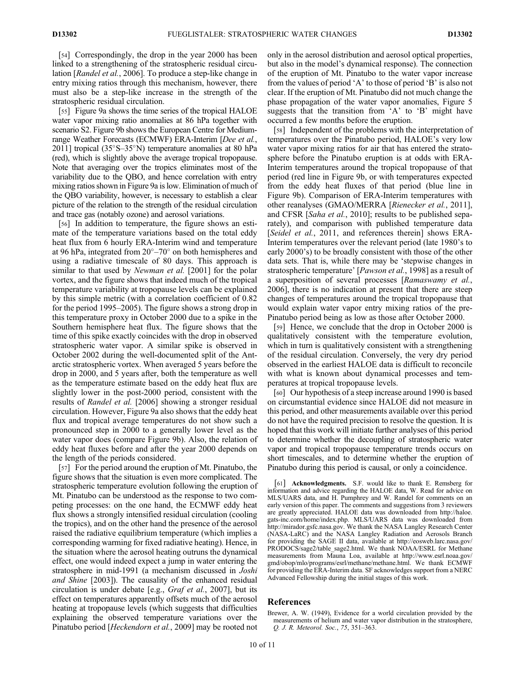[54] Correspondingly, the drop in the year 2000 has been linked to a strengthening of the stratospheric residual circulation [*Randel et al.*, 2006]. To produce a step-like change in entry mixing ratios through this mechanism, however, there must also be a step-like increase in the strength of the stratospheric residual circulation.

[55] Figure 9a shows the time series of the tropical HALOE water vapor mixing ratio anomalies at 86 hPa together with scenario S2. Figure 9b shows the European Centre for Mediumrange Weather Forecasts (ECMWF) ERA-Interim [Dee et al., 2011] tropical  $(35^{\circ}S-35^{\circ}N)$  temperature anomalies at 80 hPa (red), which is slightly above the average tropical tropopause. Note that averaging over the tropics eliminates most of the variability due to the QBO, and hence correlation with entry mixing ratios shown in Figure 9a is low. Elimination of much of the QBO variability, however, is necessary to establish a clear picture of the relation to the strength of the residual circulation and trace gas (notably ozone) and aerosol variations.

[56] In addition to temperature, the figure shows an estimate of the temperature variations based on the total eddy heat flux from 6 hourly ERA-Interim wind and temperature at 96 hPa, integrated from  $20^{\circ} - 70^{\circ}$  on both hemispheres and using a radiative timescale of 80 days. This approach is similar to that used by *Newman et al.* [2001] for the polar vortex, and the figure shows that indeed much of the tropical temperature variability at tropopause levels can be explained by this simple metric (with a correlation coefficient of 0.82 for the period 1995–2005). The figure shows a strong drop in this temperature proxy in October 2000 due to a spike in the Southern hemisphere heat flux. The figure shows that the time of this spike exactly coincides with the drop in observed stratospheric water vapor. A similar spike is observed in October 2002 during the well-documented split of the Antarctic stratospheric vortex. When averaged 5 years before the drop in 2000, and 5 years after, both the temperature as well as the temperature estimate based on the eddy heat flux are slightly lower in the post-2000 period, consistent with the results of Randel et al. [2006] showing a stronger residual circulation. However, Figure 9a also shows that the eddy heat flux and tropical average temperatures do not show such a pronounced step in 2000 to a generally lower level as the water vapor does (compare Figure 9b). Also, the relation of eddy heat fluxes before and after the year 2000 depends on the length of the periods considered.

[57] For the period around the eruption of Mt. Pinatubo, the figure shows that the situation is even more complicated. The stratospheric temperature evolution following the eruption of Mt. Pinatubo can be understood as the response to two competing processes: on the one hand, the ECMWF eddy heat flux shows a strongly intensified residual circulation (cooling the tropics), and on the other hand the presence of the aerosol raised the radiative equilibrium temperature (which implies a corresponding warming for fixed radiative heating). Hence, in the situation where the aerosol heating outruns the dynamical effect, one would indeed expect a jump in water entering the stratosphere in mid-1991 (a mechanism discussed in Joshi and Shine [2003]). The causality of the enhanced residual circulation is under debate [e.g., Graf et al., 2007], but its effect on temperatures apparently offsets much of the aerosol heating at tropopause levels (which suggests that difficulties explaining the observed temperature variations over the Pinatubo period [Heckendorn et al., 2009] may be rooted not

only in the aerosol distribution and aerosol optical properties, but also in the model's dynamical response). The connection of the eruption of Mt. Pinatubo to the water vapor increase from the values of period 'A' to those of period 'B' is also not clear. If the eruption of Mt. Pinatubo did not much change the phase propagation of the water vapor anomalies, Figure 5 suggests that the transition from 'A' to 'B' might have occurred a few months before the eruption.

[58] Independent of the problems with the interpretation of temperatures over the Pinatubo period, HALOE's very low water vapor mixing ratios for air that has entered the stratosphere before the Pinatubo eruption is at odds with ERA-Interim temperatures around the tropical tropopause of that period (red line in Figure 9b, or with temperatures expected from the eddy heat fluxes of that period (blue line in Figure 9b). Comparison of ERA-Interim temperatures with other reanalyses (GMAO/MERRA [Rienecker et al., 2011], and CFSR [Saha et al., 2010]; results to be published separately), and comparison with published temperature data [Seidel et al., 2011, and references therein] shows ERA-Interim temperatures over the relevant period (late 1980's to early 2000's) to be broadly consistent with those of the other data sets. That is, while there may be 'stepwise changes in stratospheric temperature' [*Pawson et al.*, 1998] as a result of a superposition of several processes [Ramaswamy et al., 2006], there is no indication at present that there are steep changes of temperatures around the tropical tropopause that would explain water vapor entry mixing ratios of the pre-Pinatubo period being as low as those after October 2000.

[59] Hence, we conclude that the drop in October 2000 is qualitatively consistent with the temperature evolution, which in turn is qualitatively consistent with a strengthening of the residual circulation. Conversely, the very dry period observed in the earliest HALOE data is difficult to reconcile with what is known about dynamical processes and temperatures at tropical tropopause levels.

[60] Our hypothesis of a steep increase around 1990 is based on circumstantial evidence since HALOE did not measure in this period, and other measurements available over this period do not have the required precision to resolve the question. It is hoped that this work will initiate further analyses of this period to determine whether the decoupling of stratospheric water vapor and tropical tropopause temperature trends occurs on short timescales, and to determine whether the eruption of Pinatubo during this period is causal, or only a coincidence.

[61] Acknowledgments. S.F. would like to thank E. Remsberg for information and advice regarding the HALOE data, W. Read for advice on MLS/UARS data, and H. Pumphrey and W. Randel for comments on an early version of this paper. The comments and suggestions from 3 reviewers are greatly appreciated. HALOE data was downloaded from http://haloe. gats-inc.com/home/index.php. MLS/UARS data was downloaded from http://mirador.gsfc.nasa.gov. We thank the NASA Langley Research Center (NASA-LaRC) and the NASA Langley Radiation and Aerosols Branch for providing the SAGE II data, available at http://eosweb.larc.nasa.gov/ PRODOCS/sage2/table\_sage2.html. We thank NOAA/ESRL for Methane measurements from Mauna Loa, available at http://www.esrl.noaa.gov/ gmd/obop/mlo/programs/esrl/methane/methane.html. We thank ECMWF for providing the ERA-Interim data. SF acknowledges support from a NERC Advanced Fellowship during the initial stages of this work.

#### References

Brewer, A. W. (1949), Evidence for a world circulation provided by the measurements of helium and water vapor distribution in the stratosphere, Q. J. R. Meteorol. Soc., 75, 351–363.